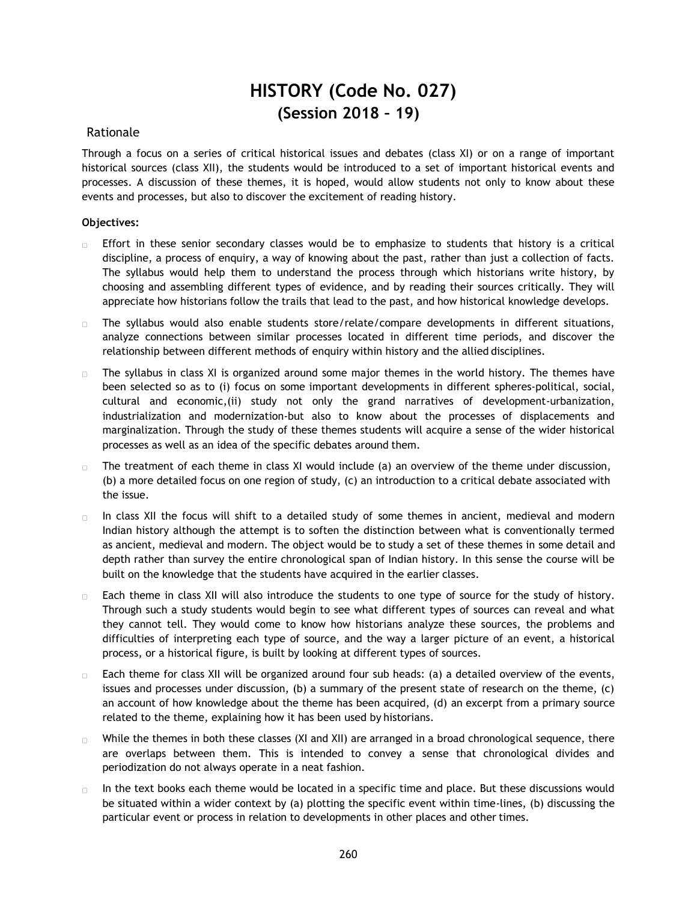# **HISTORY (Code No. 027) (Session 2018 – 19)**

### Rationale

Through a focus on a series of critical historical issues and debates (class XI) or on a range of important historical sources (class XII), the students would be introduced to a set of important historical events and processes. A discussion of these themes, it is hoped, would allow students not only to know about these events and processes, but also to discover the excitement of reading history.

### **Objectives:**

- Effort in these senior secondary classes would be to emphasize to students that history is a critical discipline, a process of enquiry, a way of knowing about the past, rather than just a collection of facts. The syllabus would help them to understand the process through which historians write history, by choosing and assembling different types of evidence, and by reading their sources critically. They will appreciate how historians follow the trails that lead to the past, and how historical knowledge develops.
- The syllabus would also enable students store/relate/compare developments in different situations,  $\Box$ analyze connections between similar processes located in different time periods, and discover the relationship between different methods of enquiry within history and the allied disciplines.
- The syllabus in class XI is organized around some major themes in the world history. The themes have  $\Box$ been selected so as to (i) focus on some important developments in different spheres-political, social, cultural and economic,(ii) study not only the grand narratives of development-urbanization, industrialization and modernization-but also to know about the processes of displacements and marginalization. Through the study of these themes students will acquire a sense of the wider historical processes as well as an idea of the specific debates around them.
- The treatment of each theme in class XI would include (a) an overview of the theme under discussion,  $\Box$ (b) a more detailed focus on one region of study, (c) an introduction to a critical debate associated with the issue.
- In class XII the focus will shift to a detailed study of some themes in ancient, medieval and modern Indian history although the attempt is to soften the distinction between what is conventionally termed as ancient, medieval and modern. The object would be to study a set of these themes in some detail and depth rather than survey the entire chronological span of Indian history. In this sense the course will be built on the knowledge that the students have acquired in the earlier classes.
- Each theme in class XII will also introduce the students to one type of source for the study of history.  $\Box$ Through such a study students would begin to see what different types of sources can reveal and what they cannot tell. They would come to know how historians analyze these sources, the problems and difficulties of interpreting each type of source, and the way a larger picture of an event, a historical process, or a historical figure, is built by looking at different types of sources.
- $\Box$ Each theme for class XII will be organized around four sub heads: (a) a detailed overview of the events, issues and processes under discussion, (b) a summary of the present state of research on the theme, (c) an account of how knowledge about the theme has been acquired, (d) an excerpt from a primary source related to the theme, explaining how it has been used by historians.
- While the themes in both these classes (XI and XII) are arranged in a broad chronological sequence, there  $\Box$ are overlaps between them. This is intended to convey a sense that chronological divides and periodization do not always operate in a neat fashion.
- In the text books each theme would be located in a specific time and place. But these discussions would  $\Box$ be situated within a wider context by (a) plotting the specific event within time-lines, (b) discussing the particular event or process in relation to developments in other places and other times.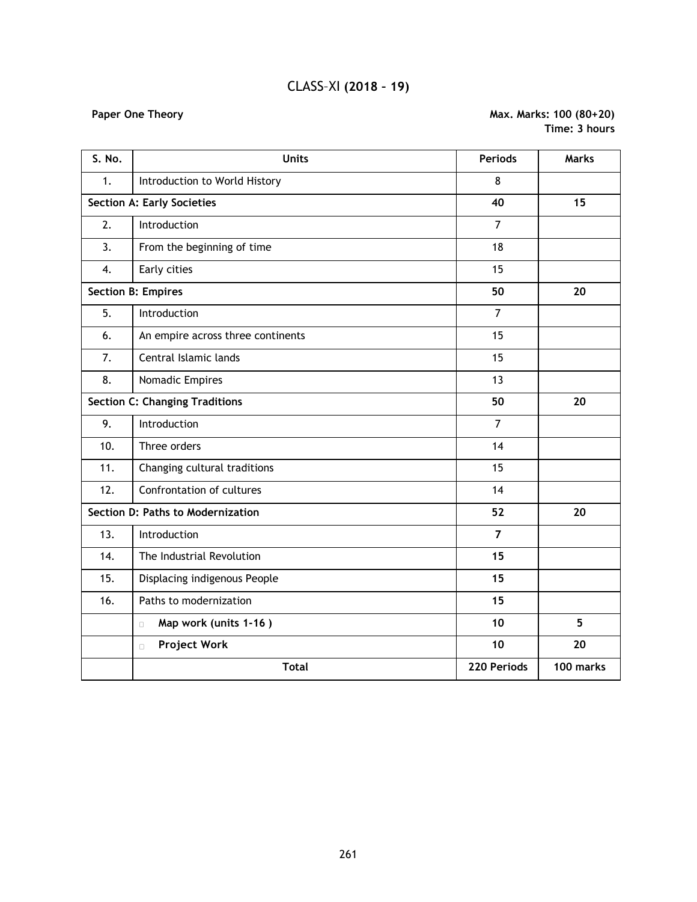# CLASS–XI **(2018 – 19)**

 **Paper One Theory Max. Marks: 100 (80+20) Time: 3 hours**

| S. No.                                | <b>Units</b>                      | <b>Periods</b> | <b>Marks</b> |
|---------------------------------------|-----------------------------------|----------------|--------------|
| 1.                                    | Introduction to World History     | 8              |              |
|                                       | <b>Section A: Early Societies</b> |                | 15           |
| 2.                                    | Introduction                      | $\overline{7}$ |              |
| $\overline{3}$ .                      | From the beginning of time        | 18             |              |
| 4.                                    | Early cities                      | 15             |              |
|                                       | <b>Section B: Empires</b>         | 50             | 20           |
| 5.                                    | Introduction                      | $\overline{7}$ |              |
| 6.                                    | An empire across three continents | 15             |              |
| 7.                                    | Central Islamic lands             | 15             |              |
| 8.                                    | Nomadic Empires                   | 13             |              |
| <b>Section C: Changing Traditions</b> |                                   | 50             | 20           |
| 9.                                    | Introduction                      | $\overline{7}$ |              |
| 10.                                   | Three orders                      | 14             |              |
| 11.                                   | Changing cultural traditions      | 15             |              |
| 12.                                   | Confrontation of cultures         | 14             |              |
|                                       | Section D: Paths to Modernization | 52             | 20           |
| 13.                                   | Introduction                      | $\overline{7}$ |              |
| 14.                                   | The Industrial Revolution         | 15             |              |
| 15.                                   | Displacing indigenous People      | 15             |              |
| 16.                                   | Paths to modernization            | 15             |              |
|                                       | Map work (units 1-16)<br>$\Box$   | 10             | 5            |
|                                       | <b>Project Work</b><br>$\Box$     | 10             | 20           |
|                                       | <b>Total</b>                      | 220 Periods    | 100 marks    |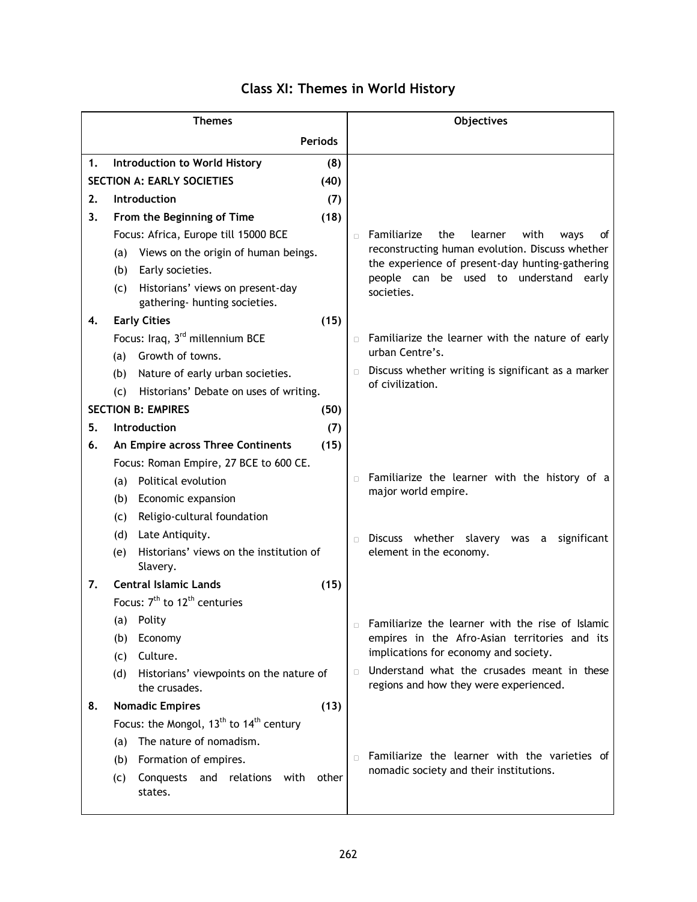|    | <b>Themes</b>                                                           |                | Objectives                                                                                |
|----|-------------------------------------------------------------------------|----------------|-------------------------------------------------------------------------------------------|
|    |                                                                         | <b>Periods</b> |                                                                                           |
| 1. | Introduction to World History                                           | (8)            |                                                                                           |
|    | <b>SECTION A: EARLY SOCIETIES</b>                                       | (40)           |                                                                                           |
| 2. | <b>Introduction</b>                                                     | (7)            |                                                                                           |
| 3. | From the Beginning of Time                                              | (18)           |                                                                                           |
|    | Focus: Africa, Europe till 15000 BCE                                    |                | Familiarize<br>the<br>learner<br>with<br>ways<br>of<br>$\Box$                             |
|    | Views on the origin of human beings.<br>(a)                             |                | reconstructing human evolution. Discuss whether                                           |
|    | Early societies.<br>(b)                                                 |                | the experience of present-day hunting-gathering<br>people can be used to understand early |
|    | Historians' views on present-day<br>(C)<br>gathering-hunting societies. |                | societies.                                                                                |
| 4. | <b>Early Cities</b>                                                     | (15)           |                                                                                           |
|    | Focus: Iraq, 3rd millennium BCE                                         |                | Familiarize the learner with the nature of early                                          |
|    | (a) Growth of towns.                                                    |                | urban Centre's.                                                                           |
|    | Nature of early urban societies.<br>(b)                                 |                | Discuss whether writing is significant as a marker<br>of civilization.                    |
|    | Historians' Debate on uses of writing.<br>(C)                           |                |                                                                                           |
|    | <b>SECTION B: EMPIRES</b>                                               | (50)           |                                                                                           |
| 5. | Introduction                                                            | (7)            |                                                                                           |
| 6. | An Empire across Three Continents                                       | (15)           |                                                                                           |
|    | Focus: Roman Empire, 27 BCE to 600 CE.                                  |                |                                                                                           |
|    | Political evolution<br>(a)                                              |                | Familiarize the learner with the history of a<br>$\Box$<br>major world empire.            |
|    | Economic expansion<br>(b)                                               |                |                                                                                           |
|    | Religio-cultural foundation<br>(C)                                      |                |                                                                                           |
|    | (d)<br>Late Antiquity.                                                  |                | Discuss whether slavery was a<br>significant<br>$\Box$                                    |
|    | Historians' views on the institution of<br>(e)<br>Slavery.              |                | element in the economy.                                                                   |
| 7. | <b>Central Islamic Lands</b>                                            | (15)           |                                                                                           |
|    | Focus: $7th$ to 12 <sup>th</sup> centuries                              |                |                                                                                           |
|    | (a) Polity                                                              |                | Familiarize the learner with the rise of Islamic                                          |
|    | Economy<br>(b)                                                          |                | empires in the Afro-Asian territories and its<br>implications for economy and society.    |
|    | Culture.<br>(c)                                                         |                | Understand what the crusades meant in these<br>$\Box$                                     |
|    | Historians' viewpoints on the nature of<br>(d)<br>the crusades.         |                | regions and how they were experienced.                                                    |
| 8. | <b>Nomadic Empires</b>                                                  | (13)           |                                                                                           |
|    | Focus: the Mongol, $13^{th}$ to $14^{th}$ century                       |                |                                                                                           |
|    | The nature of nomadism.<br>(a)                                          |                |                                                                                           |
|    | (b) Formation of empires.                                               |                | Familiarize the learner with the varieties of<br>nomadic society and their institutions.  |
|    | and relations with<br>Conquests<br>(C)<br>states.                       | other          |                                                                                           |

# **Class XI: Themes in World History**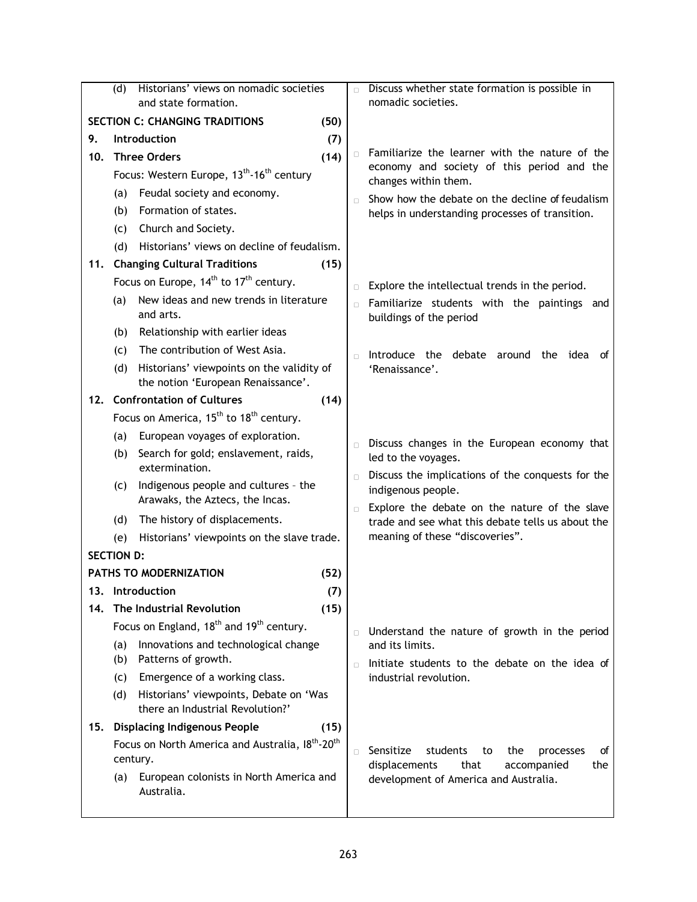|                   | (d)        | Historians' views on nomadic societies                                               |        | Discuss whether state formation is possible in                                                       |
|-------------------|------------|--------------------------------------------------------------------------------------|--------|------------------------------------------------------------------------------------------------------|
|                   |            | and state formation.                                                                 |        | nomadic societies.                                                                                   |
|                   |            | <b>SECTION C: CHANGING TRADITIONS</b><br>(50)                                        |        |                                                                                                      |
| 9.                |            | Introduction<br>(7)                                                                  |        |                                                                                                      |
| 10.               |            | (14)<br><b>Three Orders</b>                                                          | $\Box$ | Familiarize the learner with the nature of the<br>economy and society of this period and the         |
|                   |            | Focus: Western Europe, 13 <sup>th</sup> -16 <sup>th</sup> century                    |        | changes within them.                                                                                 |
|                   | (a)        | Feudal society and economy.                                                          | $\Box$ | Show how the debate on the decline of feudalism                                                      |
|                   | (b)        | Formation of states.                                                                 |        | helps in understanding processes of transition.                                                      |
|                   | (c)        | Church and Society.                                                                  |        |                                                                                                      |
|                   | (d)        | Historians' views on decline of feudalism.                                           |        |                                                                                                      |
| 11.               |            | <b>Changing Cultural Traditions</b><br>(15)                                          |        |                                                                                                      |
|                   |            | Focus on Europe, 14 <sup>th</sup> to 17 <sup>th</sup> century.                       | $\Box$ | Explore the intellectual trends in the period.                                                       |
|                   | (a)        | New ideas and new trends in literature<br>and arts.                                  | $\Box$ | Familiarize students with the paintings and<br>buildings of the period                               |
|                   | (b)        | Relationship with earlier ideas                                                      |        |                                                                                                      |
|                   | (c)        | The contribution of West Asia.                                                       | $\Box$ | Introduce the debate around the idea<br>οf                                                           |
|                   | (d)        | Historians' viewpoints on the validity of<br>the notion 'European Renaissance'.      |        | 'Renaissance'.                                                                                       |
| 12.               |            | <b>Confrontation of Cultures</b><br>(14)                                             |        |                                                                                                      |
|                   |            | Focus on America, 15 <sup>th</sup> to 18 <sup>th</sup> century.                      |        |                                                                                                      |
|                   | (a)        | European voyages of exploration.                                                     | $\Box$ | Discuss changes in the European economy that                                                         |
|                   | (b)        | Search for gold; enslavement, raids,<br>extermination.                               | $\Box$ | led to the voyages.<br>Discuss the implications of the conquests for the                             |
|                   | (c)        | Indigenous people and cultures - the<br>Arawaks, the Aztecs, the Incas.              | $\Box$ | indigenous people.<br>Explore the debate on the nature of the slave                                  |
|                   | (d)        | The history of displacements.                                                        |        | trade and see what this debate tells us about the                                                    |
|                   | (e)        | Historians' viewpoints on the slave trade.                                           |        | meaning of these "discoveries".                                                                      |
| <b>SECTION D:</b> |            |                                                                                      |        |                                                                                                      |
|                   |            | PATHS TO MODERNIZATION<br>(52)                                                       |        |                                                                                                      |
|                   |            | (7)<br>13. Introduction                                                              |        |                                                                                                      |
| 14.               |            | The Industrial Revolution<br>(15)                                                    |        |                                                                                                      |
|                   |            | Focus on England, 18 <sup>th</sup> and 19 <sup>th</sup> century.                     |        | Understand the nature of growth in the period                                                        |
|                   | (a)<br>(b) | Innovations and technological change<br>Patterns of growth.                          | $\Box$ | and its limits.<br>Initiate students to the debate on the idea of                                    |
|                   | (C)        | Emergence of a working class.                                                        |        | industrial revolution.                                                                               |
|                   | (d)        | Historians' viewpoints, Debate on 'Was<br>there an Industrial Revolution?'           |        |                                                                                                      |
| 15.               |            | <b>Displacing Indigenous People</b><br>(15)                                          |        |                                                                                                      |
|                   |            | Focus on North America and Australia, 18 <sup>th</sup> -20 <sup>th</sup><br>century. | $\Box$ | Sensitize<br>students<br>the<br>οf<br>to<br>processes<br>displacements<br>that<br>accompanied<br>the |
|                   | (a)        | European colonists in North America and<br>Australia.                                |        | development of America and Australia.                                                                |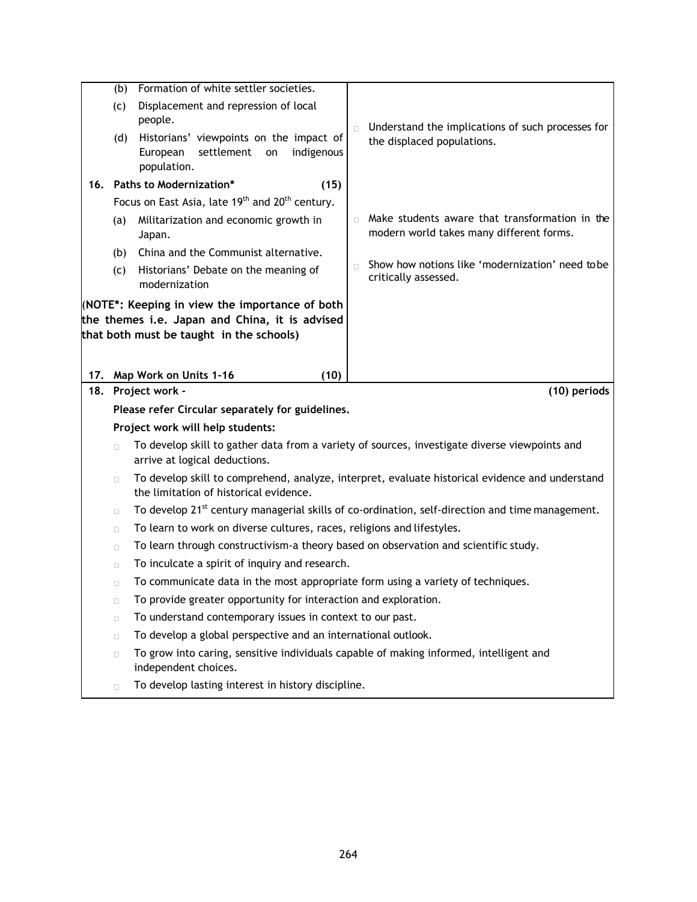| Displacement and repression of local<br>(c)<br>people.<br>Understand the implications of such processes for<br>$\Box$<br>Historians' viewpoints on the impact of<br>(d)<br>the displaced populations.<br>settlement<br>European<br>indigenous<br>on<br>population.<br>16. Paths to Modernization*<br>(15)<br>Focus on East Asia, late 19 <sup>th</sup> and 20 <sup>th</sup> century.<br>Make students aware that transformation in the<br>Militarization and economic growth in<br>$\Box$<br>(a)<br>modern world takes many different forms.<br>Japan.<br>China and the Communist alternative.<br>(b)<br>Show how notions like 'modernization' need to be<br>$\Box$<br>Historians' Debate on the meaning of<br>(c)<br>critically assessed.<br>modernization<br>(NOTE*: Keeping in view the importance of both<br>the themes i.e. Japan and China, it is advised<br>that both must be taught in the schools)<br>17.<br>Map Work on Units 1-16<br>(10)<br>Project work -<br>(10) periods<br>18.<br>Please refer Circular separately for guidelines.<br>Project work will help students:<br>To develop skill to gather data from a variety of sources, investigate diverse viewpoints and<br>$\Box$<br>arrive at logical deductions.<br>To develop skill to comprehend, analyze, interpret, evaluate historical evidence and understand<br>$\Box$<br>the limitation of historical evidence.<br>To develop 21 <sup>st</sup> century managerial skills of co-ordination, self-direction and time management.<br>$\Box$<br>To learn to work on diverse cultures, races, religions and lifestyles.<br>$\Box$<br>To learn through constructivism-a theory based on observation and scientific study.<br>$\Box$<br>To inculcate a spirit of inquiry and research.<br>$\Box$<br>To communicate data in the most appropriate form using a variety of techniques.<br>$\Box$<br>To provide greater opportunity for interaction and exploration.<br>$\Box$<br>To understand contemporary issues in context to our past.<br>$\Box$<br>To develop a global perspective and an international outlook.<br>$\Box$<br>To grow into caring, sensitive individuals capable of making informed, intelligent and<br>$\Box$<br>independent choices. | (b) | Formation of white settler societies.              |  |  |  |  |
|----------------------------------------------------------------------------------------------------------------------------------------------------------------------------------------------------------------------------------------------------------------------------------------------------------------------------------------------------------------------------------------------------------------------------------------------------------------------------------------------------------------------------------------------------------------------------------------------------------------------------------------------------------------------------------------------------------------------------------------------------------------------------------------------------------------------------------------------------------------------------------------------------------------------------------------------------------------------------------------------------------------------------------------------------------------------------------------------------------------------------------------------------------------------------------------------------------------------------------------------------------------------------------------------------------------------------------------------------------------------------------------------------------------------------------------------------------------------------------------------------------------------------------------------------------------------------------------------------------------------------------------------------------------------------------------------------------------------------------------------------------------------------------------------------------------------------------------------------------------------------------------------------------------------------------------------------------------------------------------------------------------------------------------------------------------------------------------------------------------------------------------------------------------------------------------------------------------------------|-----|----------------------------------------------------|--|--|--|--|
|                                                                                                                                                                                                                                                                                                                                                                                                                                                                                                                                                                                                                                                                                                                                                                                                                                                                                                                                                                                                                                                                                                                                                                                                                                                                                                                                                                                                                                                                                                                                                                                                                                                                                                                                                                                                                                                                                                                                                                                                                                                                                                                                                                                                                            |     |                                                    |  |  |  |  |
|                                                                                                                                                                                                                                                                                                                                                                                                                                                                                                                                                                                                                                                                                                                                                                                                                                                                                                                                                                                                                                                                                                                                                                                                                                                                                                                                                                                                                                                                                                                                                                                                                                                                                                                                                                                                                                                                                                                                                                                                                                                                                                                                                                                                                            |     |                                                    |  |  |  |  |
|                                                                                                                                                                                                                                                                                                                                                                                                                                                                                                                                                                                                                                                                                                                                                                                                                                                                                                                                                                                                                                                                                                                                                                                                                                                                                                                                                                                                                                                                                                                                                                                                                                                                                                                                                                                                                                                                                                                                                                                                                                                                                                                                                                                                                            |     |                                                    |  |  |  |  |
|                                                                                                                                                                                                                                                                                                                                                                                                                                                                                                                                                                                                                                                                                                                                                                                                                                                                                                                                                                                                                                                                                                                                                                                                                                                                                                                                                                                                                                                                                                                                                                                                                                                                                                                                                                                                                                                                                                                                                                                                                                                                                                                                                                                                                            |     |                                                    |  |  |  |  |
|                                                                                                                                                                                                                                                                                                                                                                                                                                                                                                                                                                                                                                                                                                                                                                                                                                                                                                                                                                                                                                                                                                                                                                                                                                                                                                                                                                                                                                                                                                                                                                                                                                                                                                                                                                                                                                                                                                                                                                                                                                                                                                                                                                                                                            |     |                                                    |  |  |  |  |
|                                                                                                                                                                                                                                                                                                                                                                                                                                                                                                                                                                                                                                                                                                                                                                                                                                                                                                                                                                                                                                                                                                                                                                                                                                                                                                                                                                                                                                                                                                                                                                                                                                                                                                                                                                                                                                                                                                                                                                                                                                                                                                                                                                                                                            |     |                                                    |  |  |  |  |
|                                                                                                                                                                                                                                                                                                                                                                                                                                                                                                                                                                                                                                                                                                                                                                                                                                                                                                                                                                                                                                                                                                                                                                                                                                                                                                                                                                                                                                                                                                                                                                                                                                                                                                                                                                                                                                                                                                                                                                                                                                                                                                                                                                                                                            |     |                                                    |  |  |  |  |
|                                                                                                                                                                                                                                                                                                                                                                                                                                                                                                                                                                                                                                                                                                                                                                                                                                                                                                                                                                                                                                                                                                                                                                                                                                                                                                                                                                                                                                                                                                                                                                                                                                                                                                                                                                                                                                                                                                                                                                                                                                                                                                                                                                                                                            |     |                                                    |  |  |  |  |
|                                                                                                                                                                                                                                                                                                                                                                                                                                                                                                                                                                                                                                                                                                                                                                                                                                                                                                                                                                                                                                                                                                                                                                                                                                                                                                                                                                                                                                                                                                                                                                                                                                                                                                                                                                                                                                                                                                                                                                                                                                                                                                                                                                                                                            |     |                                                    |  |  |  |  |
|                                                                                                                                                                                                                                                                                                                                                                                                                                                                                                                                                                                                                                                                                                                                                                                                                                                                                                                                                                                                                                                                                                                                                                                                                                                                                                                                                                                                                                                                                                                                                                                                                                                                                                                                                                                                                                                                                                                                                                                                                                                                                                                                                                                                                            |     |                                                    |  |  |  |  |
|                                                                                                                                                                                                                                                                                                                                                                                                                                                                                                                                                                                                                                                                                                                                                                                                                                                                                                                                                                                                                                                                                                                                                                                                                                                                                                                                                                                                                                                                                                                                                                                                                                                                                                                                                                                                                                                                                                                                                                                                                                                                                                                                                                                                                            |     |                                                    |  |  |  |  |
|                                                                                                                                                                                                                                                                                                                                                                                                                                                                                                                                                                                                                                                                                                                                                                                                                                                                                                                                                                                                                                                                                                                                                                                                                                                                                                                                                                                                                                                                                                                                                                                                                                                                                                                                                                                                                                                                                                                                                                                                                                                                                                                                                                                                                            |     |                                                    |  |  |  |  |
|                                                                                                                                                                                                                                                                                                                                                                                                                                                                                                                                                                                                                                                                                                                                                                                                                                                                                                                                                                                                                                                                                                                                                                                                                                                                                                                                                                                                                                                                                                                                                                                                                                                                                                                                                                                                                                                                                                                                                                                                                                                                                                                                                                                                                            |     |                                                    |  |  |  |  |
|                                                                                                                                                                                                                                                                                                                                                                                                                                                                                                                                                                                                                                                                                                                                                                                                                                                                                                                                                                                                                                                                                                                                                                                                                                                                                                                                                                                                                                                                                                                                                                                                                                                                                                                                                                                                                                                                                                                                                                                                                                                                                                                                                                                                                            |     |                                                    |  |  |  |  |
|                                                                                                                                                                                                                                                                                                                                                                                                                                                                                                                                                                                                                                                                                                                                                                                                                                                                                                                                                                                                                                                                                                                                                                                                                                                                                                                                                                                                                                                                                                                                                                                                                                                                                                                                                                                                                                                                                                                                                                                                                                                                                                                                                                                                                            |     |                                                    |  |  |  |  |
|                                                                                                                                                                                                                                                                                                                                                                                                                                                                                                                                                                                                                                                                                                                                                                                                                                                                                                                                                                                                                                                                                                                                                                                                                                                                                                                                                                                                                                                                                                                                                                                                                                                                                                                                                                                                                                                                                                                                                                                                                                                                                                                                                                                                                            |     |                                                    |  |  |  |  |
|                                                                                                                                                                                                                                                                                                                                                                                                                                                                                                                                                                                                                                                                                                                                                                                                                                                                                                                                                                                                                                                                                                                                                                                                                                                                                                                                                                                                                                                                                                                                                                                                                                                                                                                                                                                                                                                                                                                                                                                                                                                                                                                                                                                                                            |     |                                                    |  |  |  |  |
|                                                                                                                                                                                                                                                                                                                                                                                                                                                                                                                                                                                                                                                                                                                                                                                                                                                                                                                                                                                                                                                                                                                                                                                                                                                                                                                                                                                                                                                                                                                                                                                                                                                                                                                                                                                                                                                                                                                                                                                                                                                                                                                                                                                                                            |     |                                                    |  |  |  |  |
|                                                                                                                                                                                                                                                                                                                                                                                                                                                                                                                                                                                                                                                                                                                                                                                                                                                                                                                                                                                                                                                                                                                                                                                                                                                                                                                                                                                                                                                                                                                                                                                                                                                                                                                                                                                                                                                                                                                                                                                                                                                                                                                                                                                                                            |     |                                                    |  |  |  |  |
|                                                                                                                                                                                                                                                                                                                                                                                                                                                                                                                                                                                                                                                                                                                                                                                                                                                                                                                                                                                                                                                                                                                                                                                                                                                                                                                                                                                                                                                                                                                                                                                                                                                                                                                                                                                                                                                                                                                                                                                                                                                                                                                                                                                                                            |     |                                                    |  |  |  |  |
|                                                                                                                                                                                                                                                                                                                                                                                                                                                                                                                                                                                                                                                                                                                                                                                                                                                                                                                                                                                                                                                                                                                                                                                                                                                                                                                                                                                                                                                                                                                                                                                                                                                                                                                                                                                                                                                                                                                                                                                                                                                                                                                                                                                                                            |     |                                                    |  |  |  |  |
|                                                                                                                                                                                                                                                                                                                                                                                                                                                                                                                                                                                                                                                                                                                                                                                                                                                                                                                                                                                                                                                                                                                                                                                                                                                                                                                                                                                                                                                                                                                                                                                                                                                                                                                                                                                                                                                                                                                                                                                                                                                                                                                                                                                                                            |     |                                                    |  |  |  |  |
|                                                                                                                                                                                                                                                                                                                                                                                                                                                                                                                                                                                                                                                                                                                                                                                                                                                                                                                                                                                                                                                                                                                                                                                                                                                                                                                                                                                                                                                                                                                                                                                                                                                                                                                                                                                                                                                                                                                                                                                                                                                                                                                                                                                                                            |     |                                                    |  |  |  |  |
|                                                                                                                                                                                                                                                                                                                                                                                                                                                                                                                                                                                                                                                                                                                                                                                                                                                                                                                                                                                                                                                                                                                                                                                                                                                                                                                                                                                                                                                                                                                                                                                                                                                                                                                                                                                                                                                                                                                                                                                                                                                                                                                                                                                                                            |     |                                                    |  |  |  |  |
|                                                                                                                                                                                                                                                                                                                                                                                                                                                                                                                                                                                                                                                                                                                                                                                                                                                                                                                                                                                                                                                                                                                                                                                                                                                                                                                                                                                                                                                                                                                                                                                                                                                                                                                                                                                                                                                                                                                                                                                                                                                                                                                                                                                                                            |     |                                                    |  |  |  |  |
|                                                                                                                                                                                                                                                                                                                                                                                                                                                                                                                                                                                                                                                                                                                                                                                                                                                                                                                                                                                                                                                                                                                                                                                                                                                                                                                                                                                                                                                                                                                                                                                                                                                                                                                                                                                                                                                                                                                                                                                                                                                                                                                                                                                                                            |     |                                                    |  |  |  |  |
| $\Box$                                                                                                                                                                                                                                                                                                                                                                                                                                                                                                                                                                                                                                                                                                                                                                                                                                                                                                                                                                                                                                                                                                                                                                                                                                                                                                                                                                                                                                                                                                                                                                                                                                                                                                                                                                                                                                                                                                                                                                                                                                                                                                                                                                                                                     |     | To develop lasting interest in history discipline. |  |  |  |  |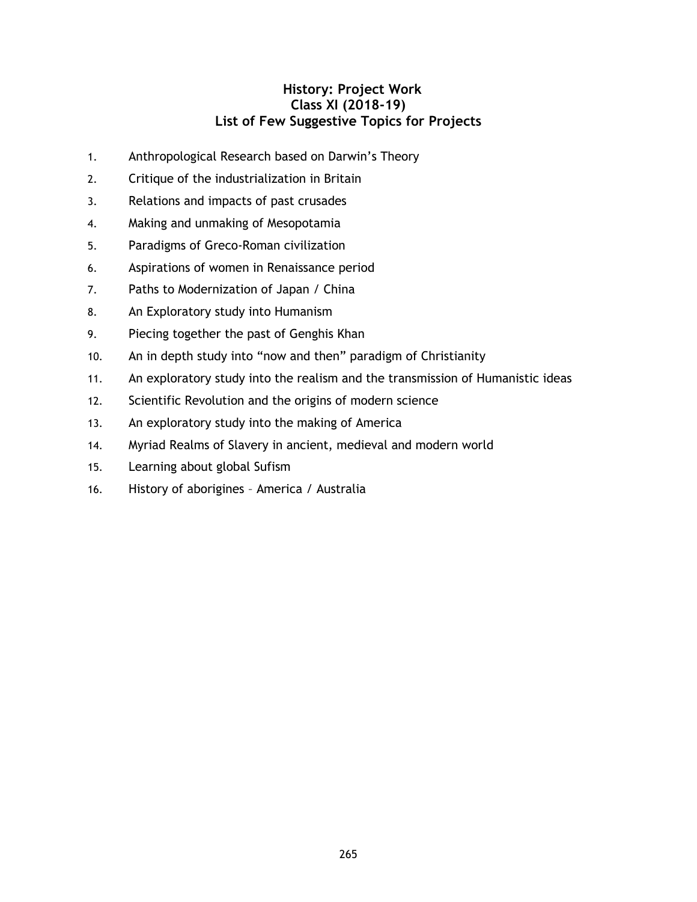## **History: Project Work Class XI (2018-19) List of Few Suggestive Topics for Projects**

- 1. Anthropological Research based on Darwin's Theory
- 2. Critique of the industrialization in Britain
- 3. Relations and impacts of past crusades
- 4. Making and unmaking of Mesopotamia
- 5. Paradigms of Greco-Roman civilization
- 6. Aspirations of women in Renaissance period
- 7. Paths to Modernization of Japan / China
- 8. An Exploratory study into Humanism
- 9. Piecing together the past of Genghis Khan
- 10. An in depth study into "now and then" paradigm of Christianity
- 11. An exploratory study into the realism and the transmission of Humanistic ideas
- 12. Scientific Revolution and the origins of modern science
- 13. An exploratory study into the making of America
- 14. Myriad Realms of Slavery in ancient, medieval and modern world
- 15. Learning about global Sufism
- 16. History of aborigines America / Australia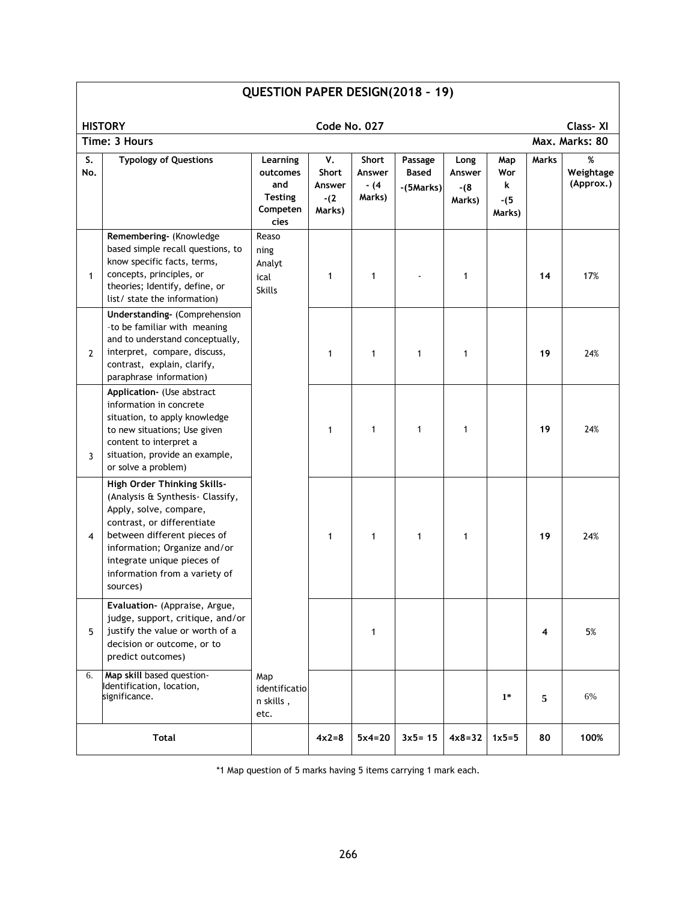| QUESTION PAPER DESIGN(2018 - 19) |                                                                                                                                                                                                                                                                   |                                                                   |                                                  |                                      |                                            |                                    |                                  |              |                             |
|----------------------------------|-------------------------------------------------------------------------------------------------------------------------------------------------------------------------------------------------------------------------------------------------------------------|-------------------------------------------------------------------|--------------------------------------------------|--------------------------------------|--------------------------------------------|------------------------------------|----------------------------------|--------------|-----------------------------|
|                                  | Code No. 027<br><b>HISTORY</b><br>Class-XI                                                                                                                                                                                                                        |                                                                   |                                                  |                                      |                                            |                                    |                                  |              |                             |
|                                  | Time: 3 Hours                                                                                                                                                                                                                                                     |                                                                   |                                                  |                                      |                                            |                                    |                                  |              | Max. Marks: 80              |
| S.<br>No.                        | <b>Typology of Questions</b>                                                                                                                                                                                                                                      | Learning<br>outcomes<br>and<br><b>Testing</b><br>Competen<br>cies | ٧.<br><b>Short</b><br>Answer<br>$-(2)$<br>Marks) | Short<br>Answer<br>$- (4)$<br>Marks) | Passage<br><b>Based</b><br>$-(5$ Marks $)$ | Long<br>Answer<br>$-(8)$<br>Marks) | Map<br>Wor<br>k<br>-(5<br>Marks) | <b>Marks</b> | %<br>Weightage<br>(Approx.) |
| $\mathbf{1}$                     | Remembering- (Knowledge<br>based simple recall questions, to<br>know specific facts, terms,<br>concepts, principles, or<br>theories; Identify, define, or<br>list/ state the information)                                                                         | Reaso<br>ning<br>Analyt<br>ical<br><b>Skills</b>                  | 1                                                | $\mathbf{1}$                         |                                            | 1                                  |                                  | 14           | 17%                         |
| $\overline{2}$                   | Understanding- (Comprehension<br>-to be familiar with meaning<br>and to understand conceptually,<br>interpret, compare, discuss,<br>contrast, explain, clarify,<br>paraphrase information)                                                                        |                                                                   | 1                                                | $\mathbf{1}$                         | 1                                          | $\mathbf{1}$                       |                                  | 19           | 24%                         |
| 3                                | Application- (Use abstract<br>information in concrete<br>situation, to apply knowledge<br>to new situations; Use given<br>content to interpret a<br>situation, provide an example,<br>or solve a problem)                                                         |                                                                   | 1                                                | $\mathbf{1}$                         | 1                                          | $\mathbf{1}$                       |                                  | 19           | 24%                         |
| 4                                | High Order Thinking Skills-<br>(Analysis & Synthesis- Classify,<br>Apply, solve, compare,<br>contrast, or differentiate<br>between different pieces of<br>information; Organize and/or<br>integrate unique pieces of<br>information from a variety of<br>sources) |                                                                   | $\mathbf{1}$                                     | $\mathbf{1}$                         | 1                                          | 1                                  |                                  | 19           | 24%                         |
| 5                                | Evaluation- (Appraise, Argue,<br>judge, support, critique, and/or<br>justify the value or worth of a<br>decision or outcome, or to<br>predict outcomes)                                                                                                           |                                                                   |                                                  | $\mathbf{1}$                         |                                            |                                    |                                  | 4            | 5%                          |
| 6.                               | Map skill based question-<br>Identification, location,<br>significance.                                                                                                                                                                                           | Map<br>identificatio<br>n skills,<br>etc.                         |                                                  |                                      |                                            |                                    | $1*$                             | 5            | 6%                          |
|                                  | <b>Total</b>                                                                                                                                                                                                                                                      |                                                                   | $4x2=8$                                          | $5x4=20$                             | $3x5 = 15$                                 | $4x8 = 32$                         | $1x5=5$                          | 80           | 100%                        |

\*1 Map question of 5 marks having 5 items carrying 1 mark each.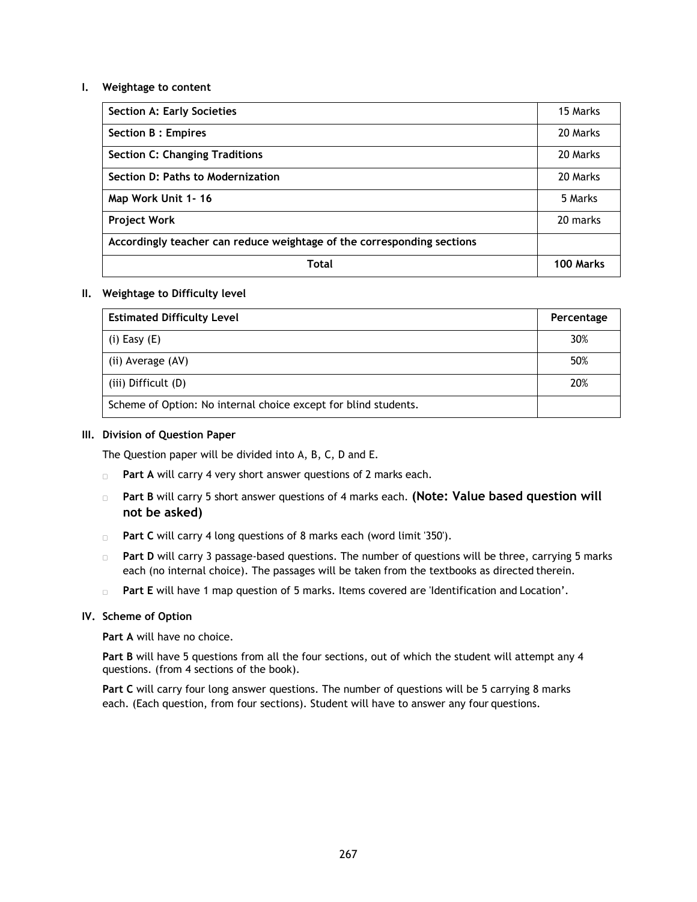### **I. Weightage to content**

| <b>Section A: Early Societies</b>                                      | 15 Marks  |
|------------------------------------------------------------------------|-----------|
| <b>Section B: Empires</b>                                              | 20 Marks  |
| <b>Section C: Changing Traditions</b>                                  | 20 Marks  |
| Section D: Paths to Modernization                                      | 20 Marks  |
| Map Work Unit 1-16                                                     | 5 Marks   |
| <b>Project Work</b>                                                    | 20 marks  |
| Accordingly teacher can reduce weightage of the corresponding sections |           |
| Total                                                                  | 100 Marks |

### **II. Weightage to Difficulty level**

| <b>Estimated Difficulty Level</b>                               | Percentage |
|-----------------------------------------------------------------|------------|
| $(i)$ Easy $(E)$                                                | 30%        |
| (ii) Average (AV)                                               | 50%        |
| (iii) Difficult (D)                                             | 20%        |
| Scheme of Option: No internal choice except for blind students. |            |

### **III. Division of Question Paper**

The Question paper will be divided into A, B, C, D and E.

- $\Box$ **Part A** will carry 4 very short answer questions of 2 marks each.
- **Part B** will carry 5 short answer questions of 4 marks each. **(Note: Value based question will**   $\Box$ **not be asked)**
- Part C will carry 4 long questions of 8 marks each (word limit '350').  $\Box$
- **Part D** will carry 3 passage-based questions. The number of questions will be three, carrying 5 marks  $\Box$ each (no internal choice). The passages will be taken from the textbooks as directed therein.
- Part E will have 1 map question of 5 marks. Items covered are 'Identification and Location'.  $\Box$

### **IV. Scheme of Option**

**Part A** will have no choice.

**Part B** will have 5 questions from all the four sections, out of which the student will attempt any 4 questions. (from 4 sections of the book).

**Part C** will carry four long answer questions. The number of questions will be 5 carrying 8 marks each. (Each question, from four sections). Student will have to answer any four questions.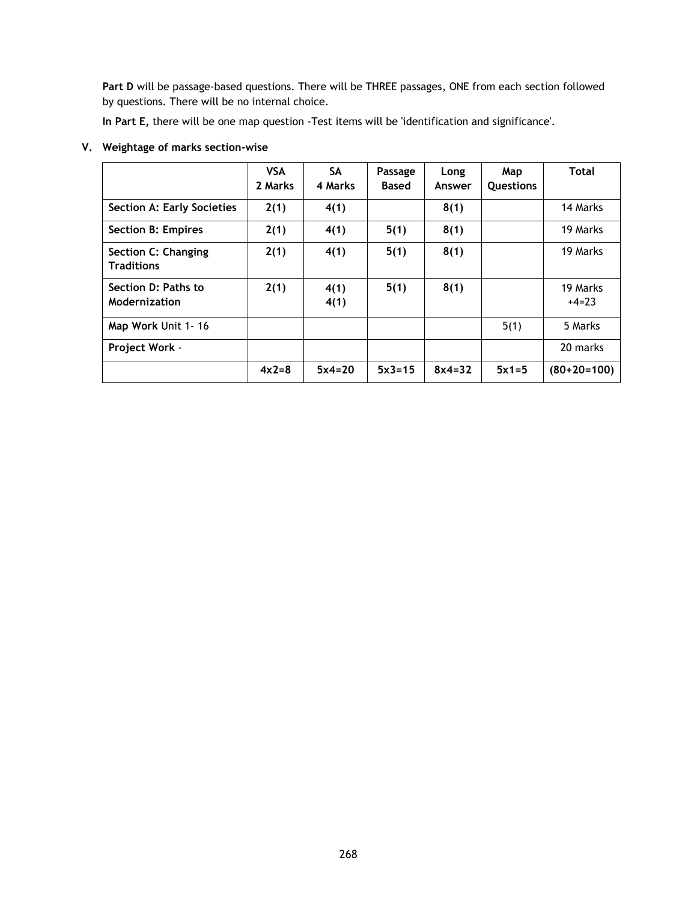**Part D** will be passage-based questions. There will be THREE passages, ONE from each section followed by questions. There will be no internal choice.

**In Part E,** there will be one map question -Test items will be 'identification and significance'.

### **V. Weightage of marks section-wise**

|                                          | <b>VSA</b><br>2 Marks | SA<br>4 Marks | Passage<br><b>Based</b> | Long<br>Answer | Map<br><b>Questions</b> | Total               |
|------------------------------------------|-----------------------|---------------|-------------------------|----------------|-------------------------|---------------------|
| <b>Section A: Early Societies</b>        | 2(1)                  | 4(1)          |                         | 8(1)           |                         | 14 Marks            |
| <b>Section B: Empires</b>                | 2(1)                  | 4(1)          | 5(1)                    | 8(1)           |                         | 19 Marks            |
| Section C: Changing<br><b>Traditions</b> | 2(1)                  | 4(1)          | 5(1)                    | 8(1)           |                         | 19 Marks            |
| Section D: Paths to<br>Modernization     | 2(1)                  | 4(1)<br>4(1)  | 5(1)                    | 8(1)           |                         | 19 Marks<br>$+4=23$ |
| Map Work Unit 1-16                       |                       |               |                         |                | 5(1)                    | 5 Marks             |
| Project Work -                           |                       |               |                         |                |                         | 20 marks            |
|                                          | $4x2=8$               | $5x4=20$      | $5x3 = 15$              | $8x4=32$       | $5x1=5$                 | $(80+20=100)$       |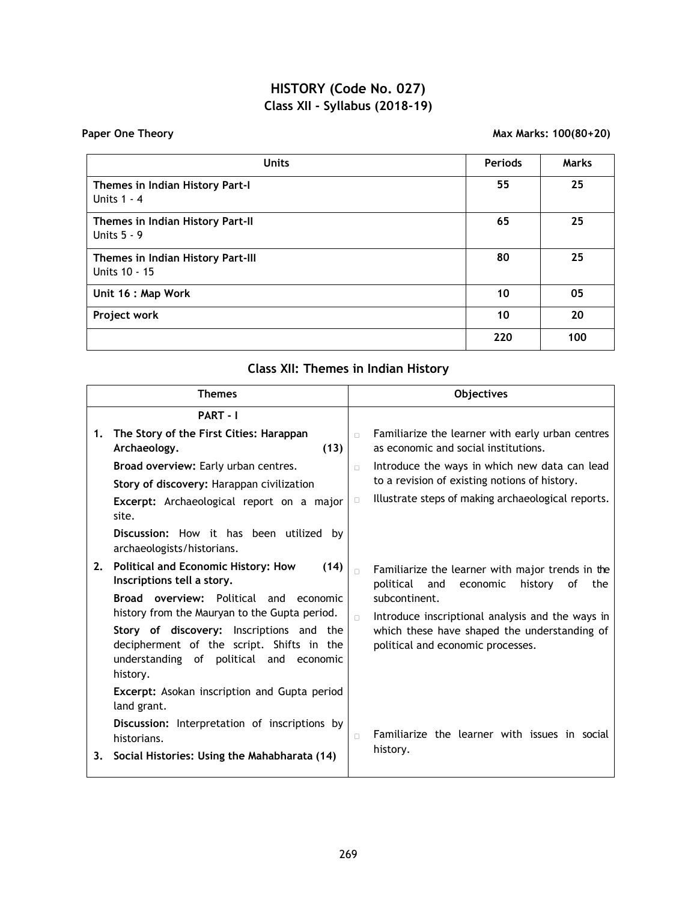## **HISTORY (Code No. 027) Class XII - Syllabus (2018-19)**

**Paper One Theory Max Marks:** 100(80+20)

| <b>Units</b>                                       | <b>Periods</b> | <b>Marks</b> |
|----------------------------------------------------|----------------|--------------|
| Themes in Indian History Part-I<br>Units $1 - 4$   | 55             | 25           |
| Themes in Indian History Part-II<br>Units $5 - 9$  | 65             | 25           |
| Themes in Indian History Part-III<br>Units 10 - 15 | 80             | 25           |
| Unit 16 : Map Work                                 | 10             | 05           |
| Project work                                       | 10             | 20           |
|                                                    | 220            | 100          |

## **Class XII: Themes in Indian History**

|    | <b>Themes</b>                                                                                                                                |        | Objectives                                                                                               |
|----|----------------------------------------------------------------------------------------------------------------------------------------------|--------|----------------------------------------------------------------------------------------------------------|
|    | PART-I                                                                                                                                       |        |                                                                                                          |
| 1. | The Story of the First Cities: Harappan<br>(13)<br>Archaeology.                                                                              | $\Box$ | Familiarize the learner with early urban centres<br>as economic and social institutions.                 |
|    | Broad overview: Early urban centres.                                                                                                         | $\Box$ | Introduce the ways in which new data can lead                                                            |
|    | Story of discovery: Harappan civilization                                                                                                    |        | to a revision of existing notions of history.                                                            |
|    | Excerpt: Archaeological report on a major<br>site.                                                                                           | $\Box$ | Illustrate steps of making archaeological reports.                                                       |
|    | <b>Discussion:</b> How it has been utilized by<br>archaeologists/historians.                                                                 |        |                                                                                                          |
| 2. | <b>Political and Economic History: How</b><br>(14)<br>Inscriptions tell a story.                                                             | $\Box$ | Familiarize the learner with major trends in the<br>political<br>and<br>economic<br>history<br>of<br>the |
|    | <b>Broad overview:</b> Political and economic                                                                                                |        | subcontinent.                                                                                            |
|    | history from the Mauryan to the Gupta period.                                                                                                | $\Box$ | Introduce inscriptional analysis and the ways in                                                         |
|    | Story of discovery: Inscriptions and the<br>decipherment of the script. Shifts in the<br>understanding of political and economic<br>history. |        | which these have shaped the understanding of<br>political and economic processes.                        |
|    | Excerpt: Asokan inscription and Gupta period<br>land grant.                                                                                  |        |                                                                                                          |
|    | <b>Discussion:</b> Interpretation of inscriptions by<br>historians.                                                                          | $\Box$ | Familiarize the learner with issues in social                                                            |
| 3. | Social Histories: Using the Mahabharata (14)                                                                                                 |        | history.                                                                                                 |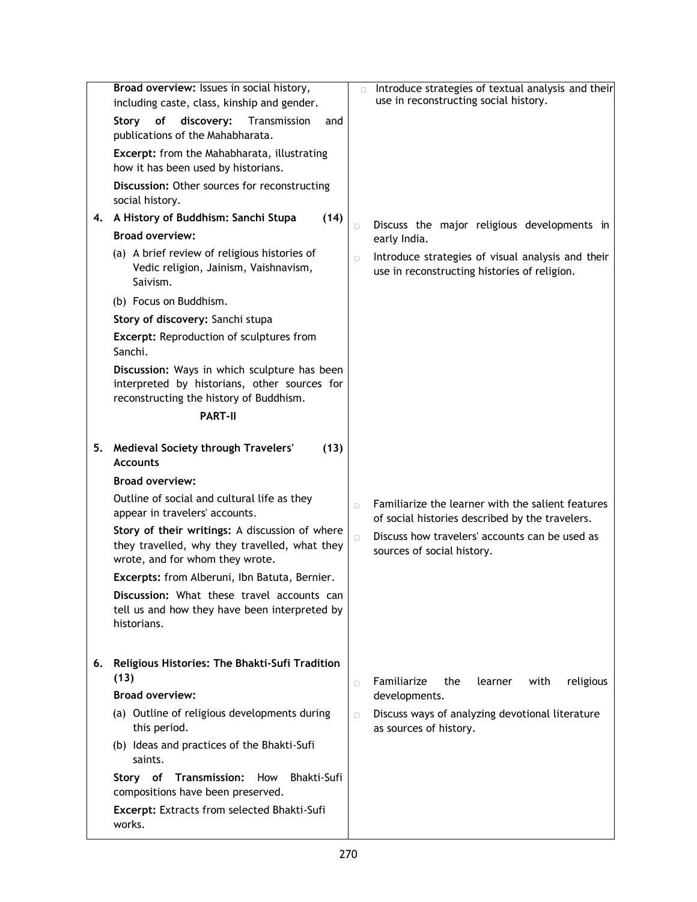|    | Broad overview: Issues in social history,                                                                                               | $\Box$ | Introduce strategies of textual analysis and their                                                   |
|----|-----------------------------------------------------------------------------------------------------------------------------------------|--------|------------------------------------------------------------------------------------------------------|
|    | including caste, class, kinship and gender.                                                                                             |        | use in reconstructing social history.                                                                |
|    | Story of<br>discovery:<br>Transmission<br>and<br>publications of the Mahabharata.                                                       |        |                                                                                                      |
|    | Excerpt: from the Mahabharata, illustrating<br>how it has been used by historians.                                                      |        |                                                                                                      |
|    | Discussion: Other sources for reconstructing<br>social history.                                                                         |        |                                                                                                      |
| 4. | A History of Buddhism: Sanchi Stupa<br>(14)                                                                                             |        |                                                                                                      |
|    | <b>Broad overview:</b>                                                                                                                  | $\Box$ | Discuss the major religious developments in<br>early India.                                          |
|    | (a) A brief review of religious histories of<br>Vedic religion, Jainism, Vaishnavism,<br>Saivism.                                       | $\Box$ | Introduce strategies of visual analysis and their<br>use in reconstructing histories of religion.    |
|    | (b) Focus on Buddhism.                                                                                                                  |        |                                                                                                      |
|    | Story of discovery: Sanchi stupa                                                                                                        |        |                                                                                                      |
|    | Excerpt: Reproduction of sculptures from<br>Sanchi.                                                                                     |        |                                                                                                      |
|    | Discussion: Ways in which sculpture has been<br>interpreted by historians, other sources for<br>reconstructing the history of Buddhism. |        |                                                                                                      |
|    | <b>PART-II</b>                                                                                                                          |        |                                                                                                      |
|    |                                                                                                                                         |        |                                                                                                      |
|    | 5. Medieval Society through Travelers'<br>(13)<br><b>Accounts</b>                                                                       |        |                                                                                                      |
|    | <b>Broad overview:</b>                                                                                                                  |        |                                                                                                      |
|    | Outline of social and cultural life as they<br>appear in travelers' accounts.                                                           | $\Box$ | Familiarize the learner with the salient features<br>of social histories described by the travelers. |
|    | Story of their writings: A discussion of where<br>they travelled, why they travelled, what they<br>wrote, and for whom they wrote.      | $\Box$ | Discuss how travelers' accounts can be used as<br>sources of social history.                         |
|    | Excerpts: from Alberuni, Ibn Batuta, Bernier.                                                                                           |        |                                                                                                      |
|    | <b>Discussion:</b> What these travel accounts can<br>tell us and how they have been interpreted by<br>historians.                       |        |                                                                                                      |
|    | 6. Religious Histories: The Bhakti-Sufi Tradition<br>(13)                                                                               |        |                                                                                                      |
|    | <b>Broad overview:</b>                                                                                                                  | $\Box$ | Familiarize<br>religious<br>the<br>learner<br>with                                                   |
|    | (a) Outline of religious developments during                                                                                            |        | developments.                                                                                        |
|    | this period.                                                                                                                            | $\Box$ | Discuss ways of analyzing devotional literature<br>as sources of history.                            |
|    | (b) Ideas and practices of the Bhakti-Sufi<br>saints.                                                                                   |        |                                                                                                      |
|    | Transmission:<br>Bhakti-Sufi<br>Story of<br>How<br>compositions have been preserved.                                                    |        |                                                                                                      |
|    | Excerpt: Extracts from selected Bhakti-Sufi<br>works.                                                                                   |        |                                                                                                      |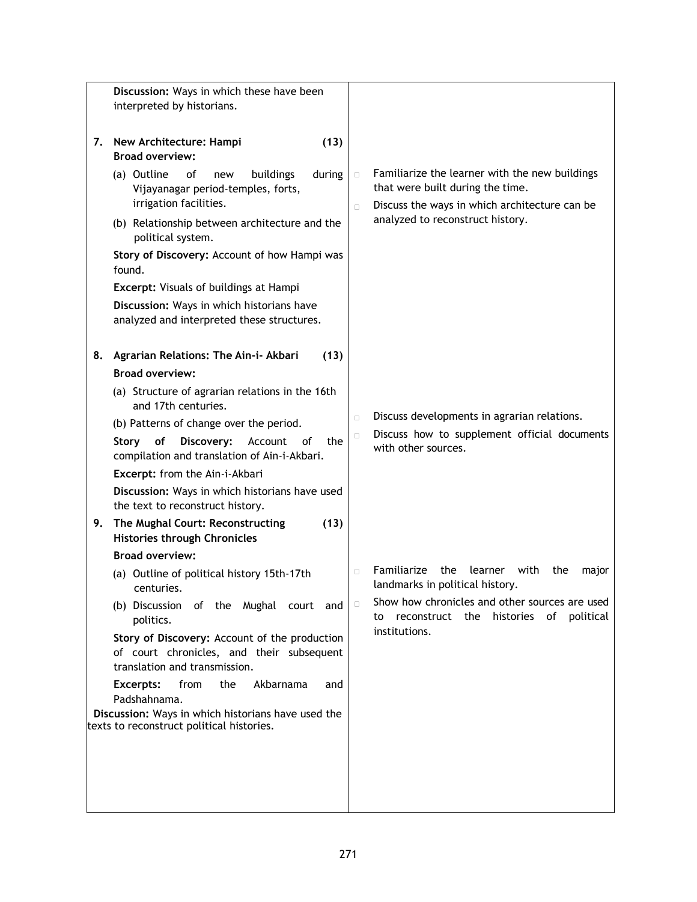|    | Discussion: Ways in which these have been<br>interpreted by historians.                                                     |                  |                                                                                                                                     |
|----|-----------------------------------------------------------------------------------------------------------------------------|------------------|-------------------------------------------------------------------------------------------------------------------------------------|
| 7. | (13)<br>New Architecture: Hampi<br><b>Broad overview:</b>                                                                   |                  |                                                                                                                                     |
|    | (a) Outline<br>buildings<br>during<br>οf<br>new<br>Vijayanagar period-temples, forts,<br>irrigation facilities.             | $\Box$<br>$\Box$ | Familiarize the learner with the new buildings<br>that were built during the time.<br>Discuss the ways in which architecture can be |
|    | (b) Relationship between architecture and the<br>political system.                                                          |                  | analyzed to reconstruct history.                                                                                                    |
|    | Story of Discovery: Account of how Hampi was<br>found.                                                                      |                  |                                                                                                                                     |
|    | <b>Excerpt: Visuals of buildings at Hampi</b>                                                                               |                  |                                                                                                                                     |
|    | Discussion: Ways in which historians have<br>analyzed and interpreted these structures.                                     |                  |                                                                                                                                     |
| 8. | Agrarian Relations: The Ain-i- Akbari<br>(13)<br><b>Broad overview:</b>                                                     |                  |                                                                                                                                     |
|    | (a) Structure of agrarian relations in the 16th                                                                             |                  |                                                                                                                                     |
|    | and 17th centuries.                                                                                                         | $\Box$           | Discuss developments in agrarian relations.                                                                                         |
|    | (b) Patterns of change over the period.                                                                                     | $\Box$           | Discuss how to supplement official documents                                                                                        |
|    | Discovery:<br>Story<br>of<br>Account<br>оf<br>the<br>compilation and translation of Ain-i-Akbari.                           |                  | with other sources.                                                                                                                 |
|    | Excerpt: from the Ain-i-Akbari                                                                                              |                  |                                                                                                                                     |
|    | Discussion: Ways in which historians have used<br>the text to reconstruct history.                                          |                  |                                                                                                                                     |
| 9. | (13)<br>The Mughal Court: Reconstructing<br><b>Histories through Chronicles</b>                                             |                  |                                                                                                                                     |
|    | <b>Broad overview:</b>                                                                                                      |                  |                                                                                                                                     |
|    | (a) Outline of political history 15th-17th<br>centuries.                                                                    | $\Box$           | Familiarize<br>the<br>learner<br>with<br>the<br>major<br>landmarks in political history.                                            |
|    | (b) Discussion of the Mughal court and<br>politics.                                                                         | $\Box$           | Show how chronicles and other sources are used<br>histories of political<br>reconstruct the<br>to                                   |
|    | Story of Discovery: Account of the production<br>of court chronicles, and their subsequent<br>translation and transmission. |                  | institutions.                                                                                                                       |
|    | Akbarnama<br>Excerpts:<br>from<br>the<br>and<br>Padshahnama.                                                                |                  |                                                                                                                                     |
|    | Discussion: Ways in which historians have used the<br>texts to reconstruct political histories.                             |                  |                                                                                                                                     |
|    |                                                                                                                             |                  |                                                                                                                                     |
|    |                                                                                                                             |                  |                                                                                                                                     |
|    |                                                                                                                             |                  |                                                                                                                                     |
|    |                                                                                                                             |                  |                                                                                                                                     |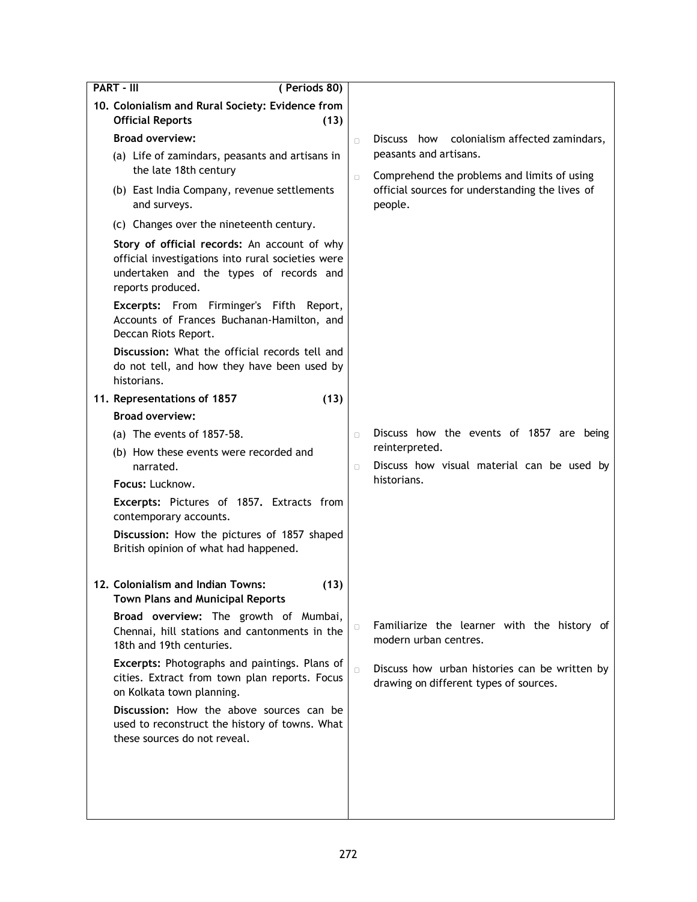| <b>PART - III</b><br>(Periods 80)                                                                                                                                 |                                                                                                   |
|-------------------------------------------------------------------------------------------------------------------------------------------------------------------|---------------------------------------------------------------------------------------------------|
| 10. Colonialism and Rural Society: Evidence from<br><b>Official Reports</b><br>(13)                                                                               |                                                                                                   |
| <b>Broad overview:</b>                                                                                                                                            | Discuss how colonialism affected zamindars,<br>$\Box$                                             |
| (a) Life of zamindars, peasants and artisans in<br>the late 18th century                                                                                          | peasants and artisans.<br>Comprehend the problems and limits of using<br>$\Box$                   |
| (b) East India Company, revenue settlements<br>and surveys.                                                                                                       | official sources for understanding the lives of<br>people.                                        |
| (c) Changes over the nineteenth century.                                                                                                                          |                                                                                                   |
| Story of official records: An account of why<br>official investigations into rural societies were<br>undertaken and the types of records and<br>reports produced. |                                                                                                   |
| Excerpts: From Firminger's Fifth Report,<br>Accounts of Frances Buchanan-Hamilton, and<br>Deccan Riots Report.                                                    |                                                                                                   |
| Discussion: What the official records tell and<br>do not tell, and how they have been used by<br>historians.                                                      |                                                                                                   |
| (13)<br>11. Representations of 1857                                                                                                                               |                                                                                                   |
| <b>Broad overview:</b>                                                                                                                                            |                                                                                                   |
| (a) The events of $1857-58$ .                                                                                                                                     | Discuss how the events of 1857 are being<br>$\Box$                                                |
| (b) How these events were recorded and<br>narrated.                                                                                                               | reinterpreted.<br>Discuss how visual material can be used by<br>$\Box$                            |
| Focus: Lucknow.                                                                                                                                                   | historians.                                                                                       |
| Excerpts: Pictures of 1857. Extracts from<br>contemporary accounts.                                                                                               |                                                                                                   |
| Discussion: How the pictures of 1857 shaped<br>British opinion of what had happened.                                                                              |                                                                                                   |
| 12. Colonialism and Indian Towns:<br>(13)<br><b>Town Plans and Municipal Reports</b>                                                                              |                                                                                                   |
| Broad overview: The growth of Mumbai,<br>Chennai, hill stations and cantonments in the<br>18th and 19th centuries.                                                | Familiarize the learner with the history of<br>$\Box$<br>modern urban centres.                    |
| Excerpts: Photographs and paintings. Plans of<br>cities. Extract from town plan reports. Focus<br>on Kolkata town planning.                                       | Discuss how urban histories can be written by<br>$\Box$<br>drawing on different types of sources. |
| Discussion: How the above sources can be<br>used to reconstruct the history of towns. What<br>these sources do not reveal.                                        |                                                                                                   |
|                                                                                                                                                                   |                                                                                                   |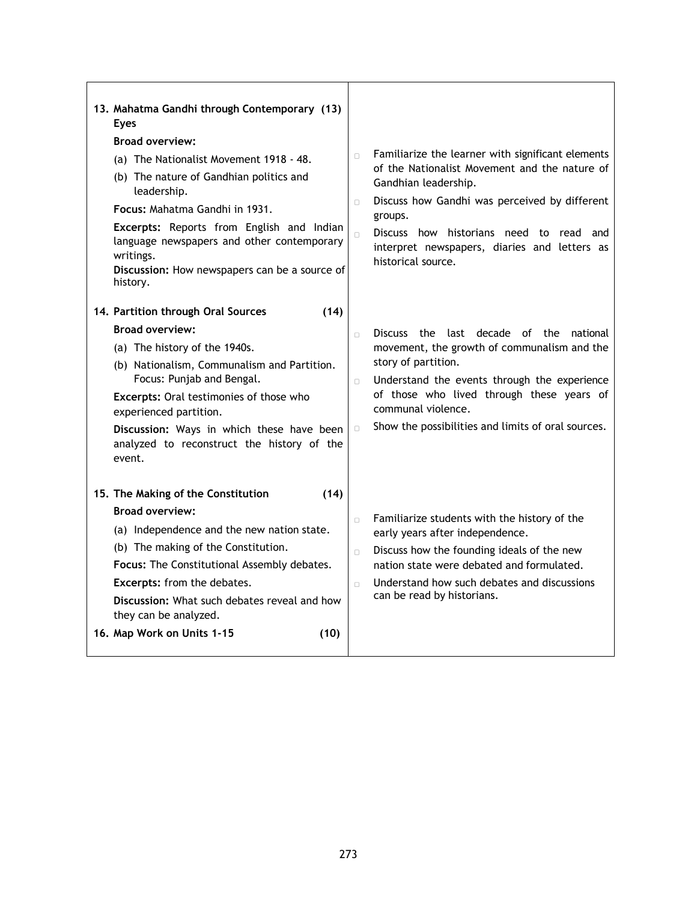| historical source.<br>Discuss the last decade of the national<br>$\Box$<br>movement, the growth of communalism and the<br>story of partition.<br>Understand the events through the experience<br>$\Box$                                                                               |
|---------------------------------------------------------------------------------------------------------------------------------------------------------------------------------------------------------------------------------------------------------------------------------------|
| of those who lived through these years of<br>communal violence.<br>Show the possibilities and limits of oral sources.<br>$\Box$                                                                                                                                                       |
| Familiarize students with the history of the<br>$\Box$<br>early years after independence.<br>Discuss how the founding ideals of the new<br>$\Box$<br>nation state were debated and formulated.<br>Understand how such debates and discussions<br>$\Box$<br>can be read by historians. |
|                                                                                                                                                                                                                                                                                       |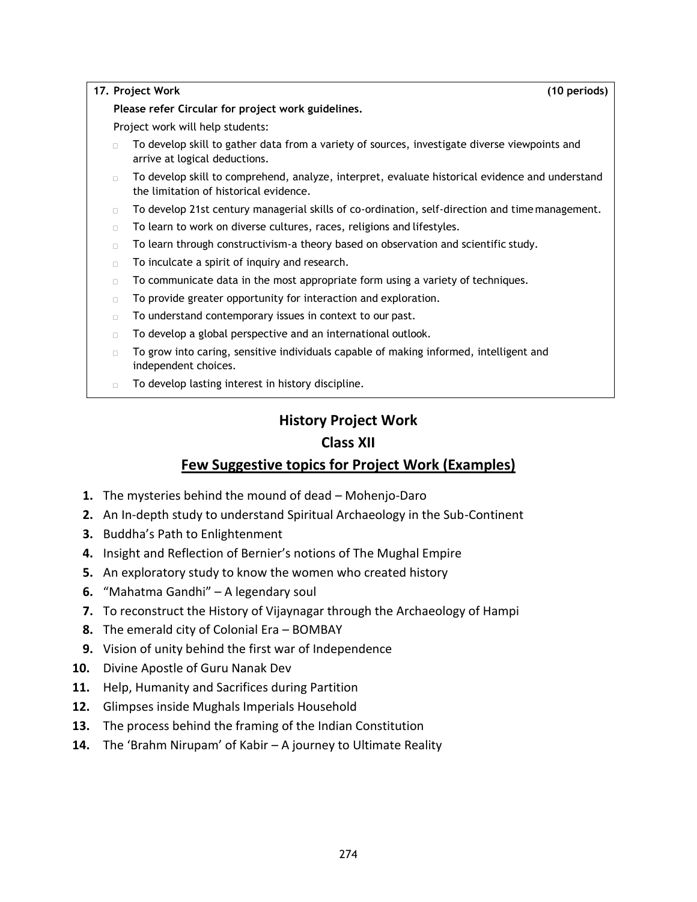### **17. Project Work (10 periods)**

### **Please refer Circular for project work guidelines.**

Project work will help students:

- To develop skill to gather data from a variety of sources, investigate diverse viewpoints and  $\Box$ arrive at logical deductions.
- $\Box$ To develop skill to comprehend, analyze, interpret, evaluate historical evidence and understand the limitation of historical evidence.
- To develop 21st century managerial skills of co-ordination, self-direction and time management.  $\Box$
- To learn to work on diverse cultures, races, religions and lifestyles.  $\Box$
- To learn through constructivism-a theory based on observation and scientific study.  $\Box$
- To inculcate a spirit of inquiry and research.  $\Box$
- To communicate data in the most appropriate form using a variety of techniques.  $\Box$
- To provide greater opportunity for interaction and exploration.  $\Box$
- To understand contemporary issues in context to our past.  $\Box$
- To develop a global perspective and an international outlook.  $\Box$
- To grow into caring, sensitive individuals capable of making informed, intelligent and  $\Box$ independent choices.
- To develop lasting interest in history discipline.

# **History Project Work Class XII**

# **Few Suggestive topics for Project Work (Examples)**

- **1.** The mysteries behind the mound of dead Mohenjo-Daro
- **2.** An In-depth study to understand Spiritual Archaeology in the Sub-Continent
- **3.** Buddha's Path to Enlightenment
- **4.** Insight and Reflection of Bernier's notions of The Mughal Empire
- **5.** An exploratory study to know the women who created history
- **6.** "Mahatma Gandhi" A legendary soul
- **7.** To reconstruct the History of Vijaynagar through the Archaeology of Hampi
- **8.** The emerald city of Colonial Era BOMBAY
- **9.** Vision of unity behind the first war of Independence
- **10.** Divine Apostle of Guru Nanak Dev
- **11.** Help, Humanity and Sacrifices during Partition
- **12.** Glimpses inside Mughals Imperials Household
- **13.** The process behind the framing of the Indian Constitution
- **14.** The 'Brahm Nirupam' of Kabir A journey to Ultimate Reality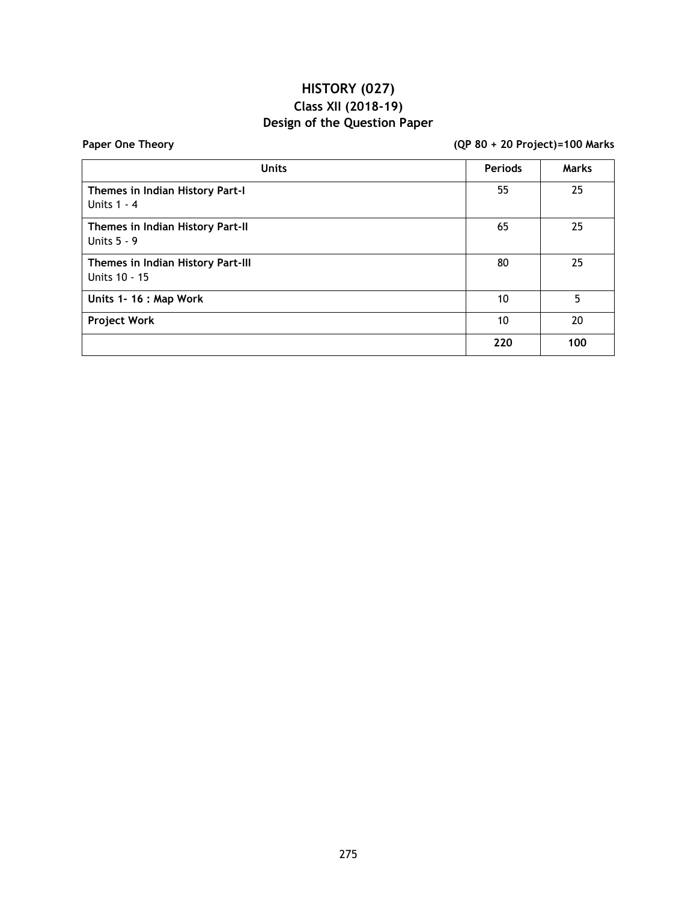# **HISTORY (027) Class XII (2018-19) Design of the Question Paper**

**Paper One Theory (QP 80 + 20 Project)=100 Marks**

| <b>Units</b>                                       | <b>Periods</b> | <b>Marks</b> |
|----------------------------------------------------|----------------|--------------|
| Themes in Indian History Part-I<br>Units $1 - 4$   | 55             | 25           |
| Themes in Indian History Part-II<br>Units $5 - 9$  | 65             | 25           |
| Themes in Indian History Part-III<br>Units 10 - 15 | 80             | 25           |
| Units 1-16 : Map Work                              | 10             | 5            |
| <b>Project Work</b>                                | 10             | 20           |
|                                                    | 220            | 100          |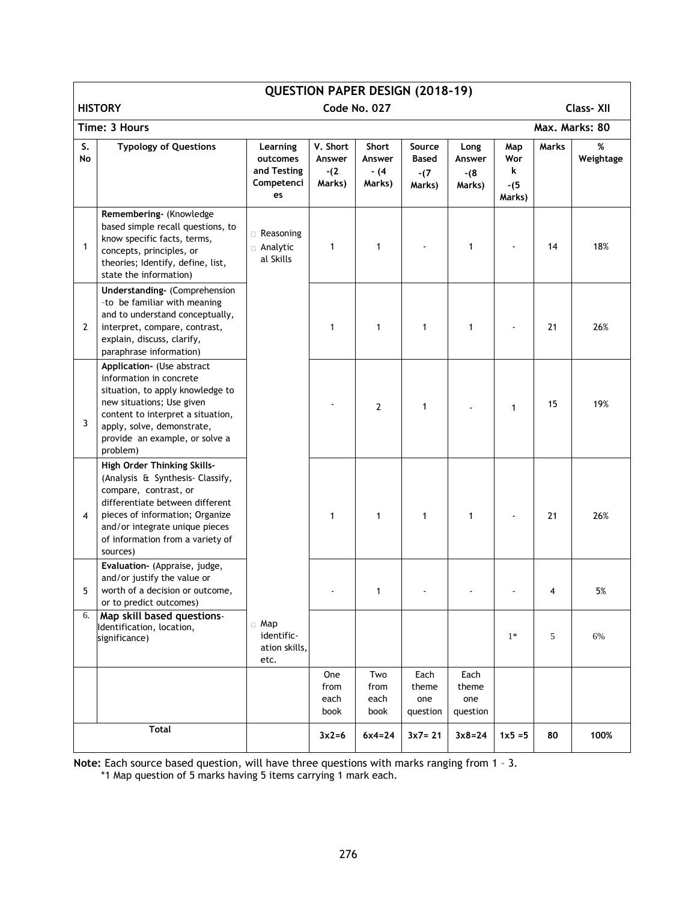| <b>QUESTION PAPER DESIGN (2018-19)</b> |                                                                                                                                                                                                                                                  |                                                         |                                        |                                      |                                            |                                    |                                      |       |                |
|----------------------------------------|--------------------------------------------------------------------------------------------------------------------------------------------------------------------------------------------------------------------------------------------------|---------------------------------------------------------|----------------------------------------|--------------------------------------|--------------------------------------------|------------------------------------|--------------------------------------|-------|----------------|
|                                        | Code No. 027<br><b>HISTORY</b><br><b>Class-XII</b>                                                                                                                                                                                               |                                                         |                                        |                                      |                                            |                                    |                                      |       |                |
| Time: 3 Hours<br>Max. Marks: 80        |                                                                                                                                                                                                                                                  |                                                         |                                        |                                      |                                            |                                    |                                      |       |                |
| S.<br>No                               | <b>Typology of Questions</b>                                                                                                                                                                                                                     | Learning<br>outcomes<br>and Testing<br>Competenci<br>es | V. Short<br>Answer<br>$-(2)$<br>Marks) | Short<br>Answer<br>$- (4)$<br>Marks) | Source<br><b>Based</b><br>$-(7)$<br>Marks) | Long<br>Answer<br>$-(8)$<br>Marks) | Map<br>Wor<br>k<br>$- (5)$<br>Marks) | Marks | %<br>Weightage |
| 1                                      | Remembering- (Knowledge<br>based simple recall questions, to<br>know specific facts, terms,<br>concepts, principles, or<br>theories; Identify, define, list,<br>state the information)                                                           | Reasoning<br>Analytic<br>al Skills                      | 1                                      | 1                                    |                                            | $\mathbf{1}$                       |                                      | 14    | 18%            |
| 2                                      | Understanding- (Comprehension<br>-to be familiar with meaning<br>and to understand conceptually,<br>interpret, compare, contrast,<br>explain, discuss, clarify,<br>paraphrase information)                                                       |                                                         | $\mathbf{1}$                           | 1                                    | $\mathbf{1}$                               | 1                                  |                                      | 21    | 26%            |
| 3                                      | Application- (Use abstract<br>information in concrete<br>situation, to apply knowledge to<br>new situations; Use given<br>content to interpret a situation,<br>apply, solve, demonstrate,<br>provide an example, or solve a<br>problem)          |                                                         |                                        | 2                                    | 1                                          |                                    | 1                                    | 15    | 19%            |
| 4                                      | High Order Thinking Skills-<br>(Analysis & Synthesis- Classify,<br>compare, contrast, or<br>differentiate between different<br>pieces of information; Organize<br>and/or integrate unique pieces<br>of information from a variety of<br>sources) |                                                         | 1                                      | $\mathbf{1}$                         | 1                                          | $\mathbf{1}$                       |                                      | 21    | 26%            |
| 5                                      | Evaluation- (Appraise, judge,<br>and/or justify the value or<br>worth of a decision or outcome,<br>or to predict outcomes)                                                                                                                       |                                                         |                                        |                                      |                                            |                                    |                                      |       | 5%             |
| 6.                                     | Map skill based questions-<br>Identification, location,<br>significance)                                                                                                                                                                         | $\Box$ Map<br>identific-<br>ation skills,<br>etc.       |                                        |                                      |                                            |                                    | $1*$                                 | 5     | 6%             |
|                                        |                                                                                                                                                                                                                                                  |                                                         | One<br>from<br>each<br>book            | Two<br>from<br>each<br>book          | Each<br>theme<br>one<br>question           | Each<br>theme<br>one<br>question   |                                      |       |                |
| <b>Total</b>                           |                                                                                                                                                                                                                                                  |                                                         | $3x2=6$                                | $6x4=24$                             | $3x7 = 21$                                 | $3x8 = 24$                         | $1x5 = 5$                            | 80    | 100%           |

 **Note:** Each source based question, will have three questions with marks ranging from 1 – 3.

\*1 Map question of 5 marks having 5 items carrying 1 mark each.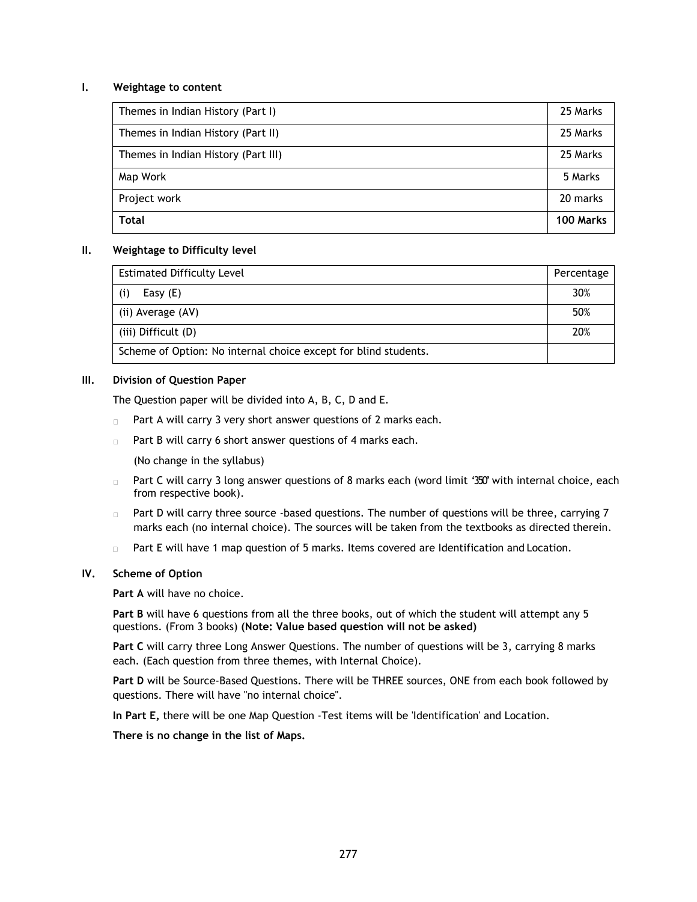### **I. Weightage to content**

| Themes in Indian History (Part I)   | 25 Marks  |
|-------------------------------------|-----------|
| Themes in Indian History (Part II)  | 25 Marks  |
| Themes in Indian History (Part III) | 25 Marks  |
| Map Work                            | 5 Marks   |
| Project work                        | 20 marks  |
| <b>Total</b>                        | 100 Marks |

### **II. Weightage to Difficulty level**

| <b>Estimated Difficulty Level</b>                               |     |
|-----------------------------------------------------------------|-----|
| Easy $(E)$                                                      | 30% |
| (ii) Average (AV)                                               | 50% |
| (iii) Difficult (D)                                             | 20% |
| Scheme of Option: No internal choice except for blind students. |     |

### **III. Division of Question Paper**

The Question paper will be divided into A, B, C, D and E.

- Part A will carry 3 very short answer questions of 2 marks each.  $\Box$
- Part B will carry 6 short answer questions of 4 marks each.  $\Box$

(No change in the syllabus)

- $\Box$ Part C will carry 3 long answer questions of 8 marks each (word limit '350' with internal choice, each from respective book).
- Part D will carry three source -based questions. The number of questions will be three, carrying 7  $\Box$ marks each (no internal choice). The sources will be taken from the textbooks as directed therein.
- Part E will have 1 map question of 5 marks. Items covered are Identification and Location.  $\Box$

### **IV. Scheme of Option**

**Part A** will have no choice.

**Part B** will have 6 questions from all the three books, out of which the student will attempt any 5 questions. (From 3 books) **(Note: Value based question will not be asked)** 

**Part C** will carry three Long Answer Questions. The number of questions will be 3, carrying 8 marks each. (Each question from three themes, with Internal Choice).

**Part D** will be Source-Based Questions. There will be THREE sources, ONE from each book followed by questions. There will have "no internal choice".

**In Part E,** there will be one Map Question -Test items will be 'Identification' and Location.

**There is no change in the list of Maps.**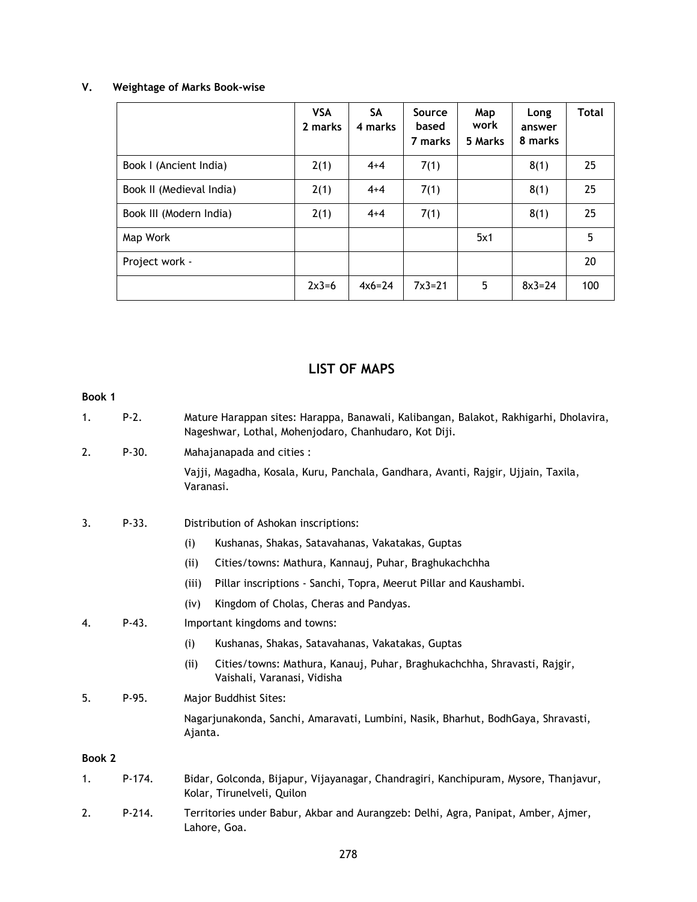## **V. Weightage of Marks Book-wise**

|                          | <b>VSA</b><br>2 marks | <b>SA</b><br>4 marks | Source<br>based<br>7 marks | Map<br>work<br>5 Marks | Long<br>answer<br>8 marks | <b>Total</b> |
|--------------------------|-----------------------|----------------------|----------------------------|------------------------|---------------------------|--------------|
| Book I (Ancient India)   | 2(1)                  | $4 + 4$              | 7(1)                       |                        | 8(1)                      | 25           |
| Book II (Medieval India) | 2(1)                  | $4 + 4$              | 7(1)                       |                        | 8(1)                      | 25           |
| Book III (Modern India)  | 2(1)                  | $4 + 4$              | 7(1)                       |                        | 8(1)                      | 25           |
| Map Work                 |                       |                      |                            | 5x1                    |                           | 5            |
| Project work -           |                       |                      |                            |                        |                           | 20           |
|                          | $2x3=6$               | $4x6=24$             | $7x3=21$                   | 5                      | $8x3=24$                  | 100          |

# **LIST OF MAPS**

### **Book 1**

| 1.     | $P-2.$   | Mature Harappan sites: Harappa, Banawali, Kalibangan, Balakot, Rakhigarhi, Dholavira,<br>Nageshwar, Lothal, Mohenjodaro, Chanhudaro, Kot Diji. |
|--------|----------|------------------------------------------------------------------------------------------------------------------------------------------------|
| 2.     | $P-30.$  | Mahajanapada and cities:                                                                                                                       |
|        |          | Vajji, Magadha, Kosala, Kuru, Panchala, Gandhara, Avanti, Rajgir, Ujjain, Taxila,<br>Varanasi.                                                 |
| 3.     | $P-33.$  | Distribution of Ashokan inscriptions:                                                                                                          |
|        |          | (i)<br>Kushanas, Shakas, Satavahanas, Vakatakas, Guptas                                                                                        |
|        |          | Cities/towns: Mathura, Kannauj, Puhar, Braghukachchha<br>(ii)                                                                                  |
|        |          | Pillar inscriptions - Sanchi, Topra, Meerut Pillar and Kaushambi.<br>(iii)                                                                     |
|        |          | Kingdom of Cholas, Cheras and Pandyas.<br>(iv)                                                                                                 |
| 4.     | $P-43.$  | Important kingdoms and towns:                                                                                                                  |
|        |          | Kushanas, Shakas, Satavahanas, Vakatakas, Guptas<br>(i)                                                                                        |
|        |          | Cities/towns: Mathura, Kanauj, Puhar, Braghukachchha, Shravasti, Rajgir,<br>(ii)<br>Vaishali, Varanasi, Vidisha                                |
| 5.     | $P-95.$  | Major Buddhist Sites:                                                                                                                          |
|        |          | Nagarjunakonda, Sanchi, Amaravati, Lumbini, Nasik, Bharhut, BodhGaya, Shravasti,<br>Ajanta.                                                    |
| Book 2 |          |                                                                                                                                                |
| 1.     | $P-174.$ | Bidar, Golconda, Bijapur, Vijayanagar, Chandragiri, Kanchipuram, Mysore, Thanjavur,<br>Kolar, Tirunelveli, Quilon                              |
| 2.     | P-214.   | Territories under Babur, Akbar and Aurangzeb: Delhi, Agra, Panipat, Amber, Ajmer,<br>Lahore, Goa.                                              |